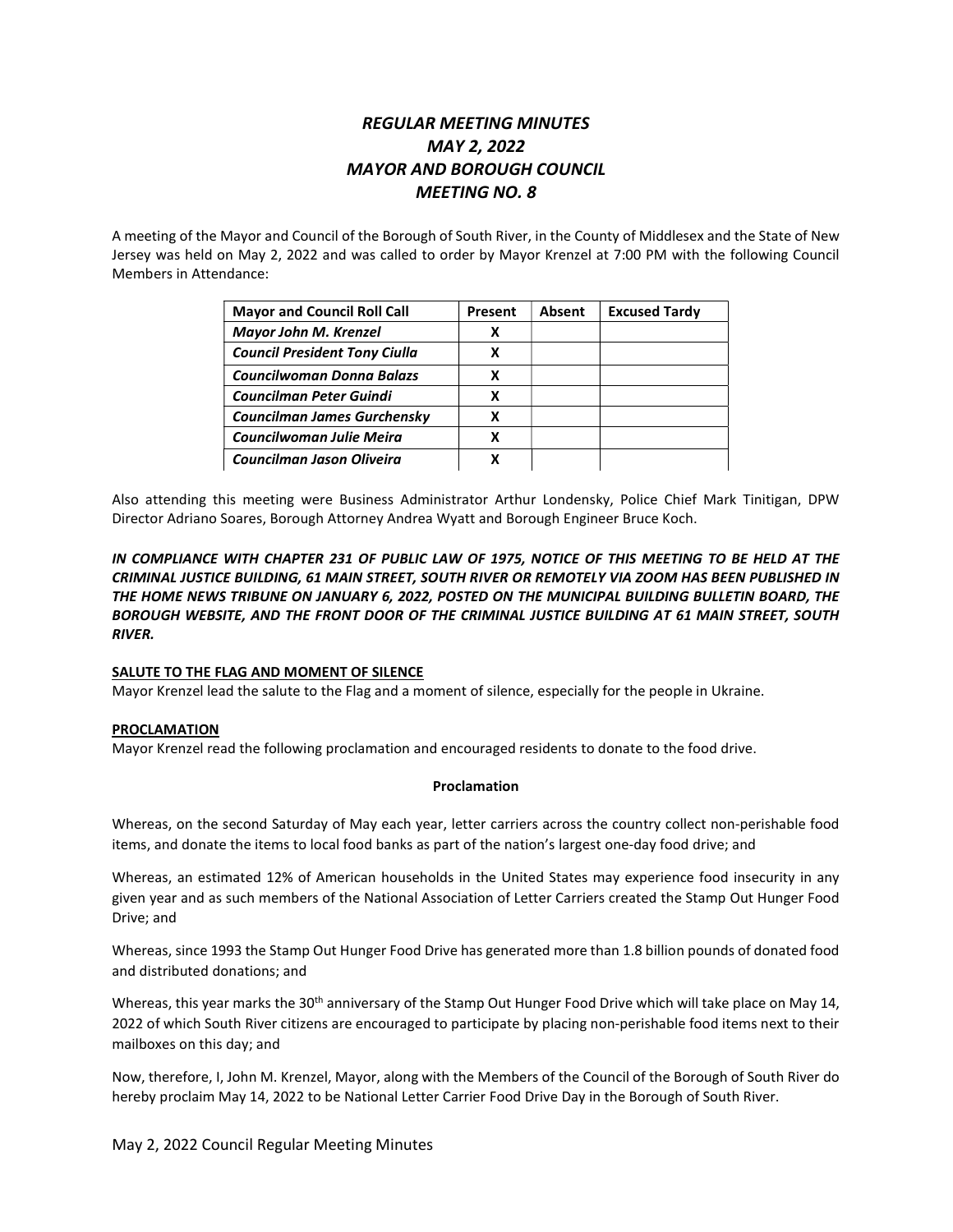# REGULAR MEETING MINUTES MAY 2, 2022 MAYOR AND BOROUGH COUNCIL MEETING NO. 8

A meeting of the Mayor and Council of the Borough of South River, in the County of Middlesex and the State of New Jersey was held on May 2, 2022 and was called to order by Mayor Krenzel at 7:00 PM with the following Council Members in Attendance:

| <b>Mayor and Council Roll Call</b>   | Present | Absent | <b>Excused Tardy</b> |
|--------------------------------------|---------|--------|----------------------|
| <b>Mayor John M. Krenzel</b>         | х       |        |                      |
| <b>Council President Tony Ciulla</b> | x       |        |                      |
| <b>Councilwoman Donna Balazs</b>     | x       |        |                      |
| <b>Councilman Peter Guindi</b>       | х       |        |                      |
| <b>Councilman James Gurchensky</b>   | х       |        |                      |
| Councilwoman Julie Meira             | х       |        |                      |
| Councilman Jason Oliveira            |         |        |                      |

Also attending this meeting were Business Administrator Arthur Londensky, Police Chief Mark Tinitigan, DPW Director Adriano Soares, Borough Attorney Andrea Wyatt and Borough Engineer Bruce Koch.

IN COMPLIANCE WITH CHAPTER 231 OF PUBLIC LAW OF 1975, NOTICE OF THIS MEETING TO BE HELD AT THE CRIMINAL JUSTICE BUILDING, 61 MAIN STREET, SOUTH RIVER OR REMOTELY VIA ZOOM HAS BEEN PUBLISHED IN THE HOME NEWS TRIBUNE ON JANUARY 6, 2022, POSTED ON THE MUNICIPAL BUILDING BULLETIN BOARD, THE BOROUGH WEBSITE, AND THE FRONT DOOR OF THE CRIMINAL JUSTICE BUILDING AT 61 MAIN STREET, SOUTH RIVER.

# SALUTE TO THE FLAG AND MOMENT OF SILENCE

Mayor Krenzel lead the salute to the Flag and a moment of silence, especially for the people in Ukraine.

# PROCLAMATION

Mayor Krenzel read the following proclamation and encouraged residents to donate to the food drive.

#### Proclamation

Whereas, on the second Saturday of May each year, letter carriers across the country collect non-perishable food items, and donate the items to local food banks as part of the nation's largest one-day food drive; and

Whereas, an estimated 12% of American households in the United States may experience food insecurity in any given year and as such members of the National Association of Letter Carriers created the Stamp Out Hunger Food Drive; and

Whereas, since 1993 the Stamp Out Hunger Food Drive has generated more than 1.8 billion pounds of donated food and distributed donations; and

Whereas, this year marks the 30<sup>th</sup> anniversary of the Stamp Out Hunger Food Drive which will take place on May 14, 2022 of which South River citizens are encouraged to participate by placing non-perishable food items next to their mailboxes on this day; and

Now, therefore, I, John M. Krenzel, Mayor, along with the Members of the Council of the Borough of South River do hereby proclaim May 14, 2022 to be National Letter Carrier Food Drive Day in the Borough of South River.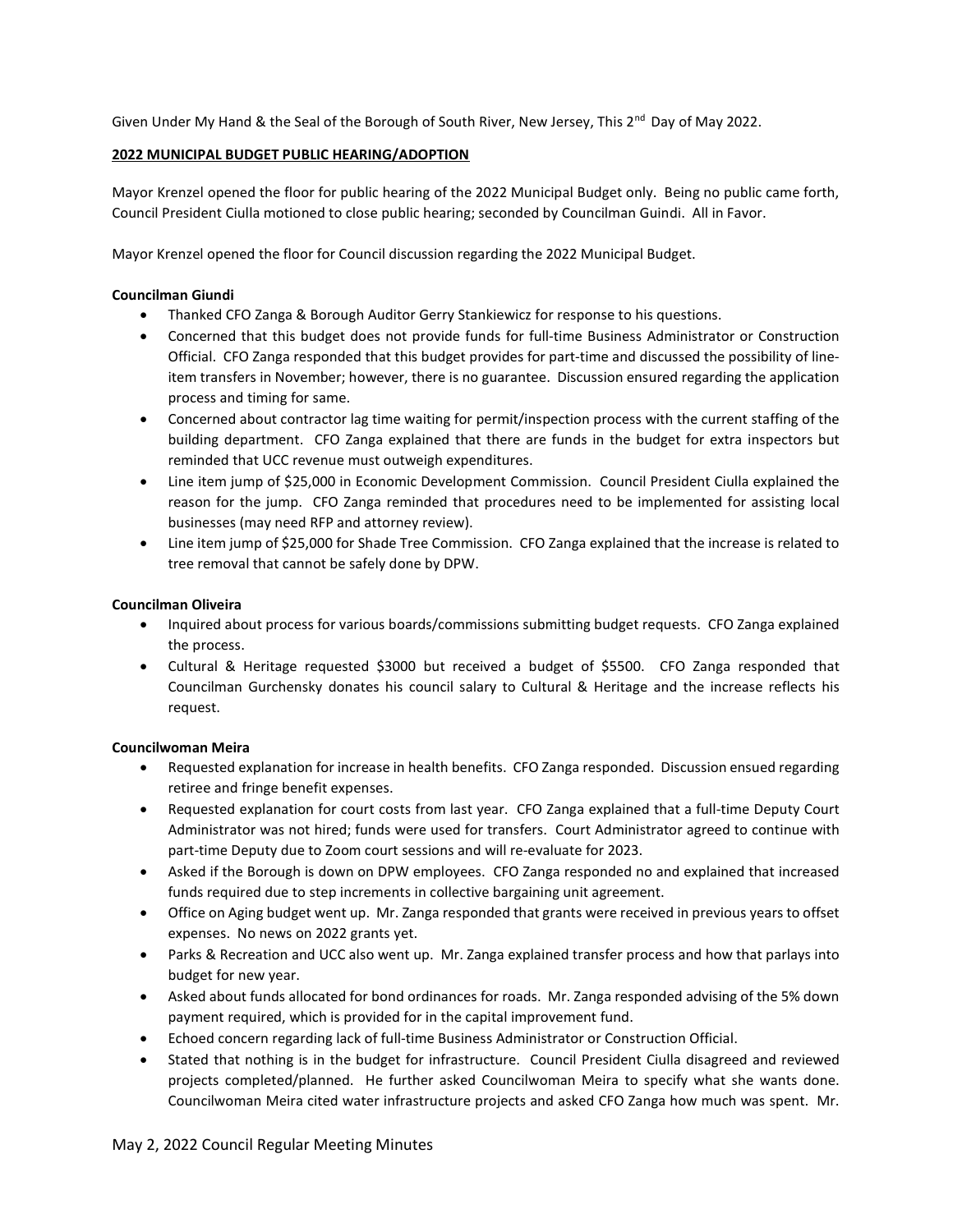Given Under My Hand & the Seal of the Borough of South River, New Jersey, This 2<sup>nd</sup> Day of May 2022.

# 2022 MUNICIPAL BUDGET PUBLIC HEARING/ADOPTION

Mayor Krenzel opened the floor for public hearing of the 2022 Municipal Budget only. Being no public came forth, Council President Ciulla motioned to close public hearing; seconded by Councilman Guindi. All in Favor.

Mayor Krenzel opened the floor for Council discussion regarding the 2022 Municipal Budget.

# Councilman Giundi

- Thanked CFO Zanga & Borough Auditor Gerry Stankiewicz for response to his questions.
- Concerned that this budget does not provide funds for full-time Business Administrator or Construction Official. CFO Zanga responded that this budget provides for part-time and discussed the possibility of lineitem transfers in November; however, there is no guarantee. Discussion ensured regarding the application process and timing for same.
- Concerned about contractor lag time waiting for permit/inspection process with the current staffing of the building department. CFO Zanga explained that there are funds in the budget for extra inspectors but reminded that UCC revenue must outweigh expenditures.
- Line item jump of \$25,000 in Economic Development Commission. Council President Ciulla explained the reason for the jump. CFO Zanga reminded that procedures need to be implemented for assisting local businesses (may need RFP and attorney review).
- Line item jump of \$25,000 for Shade Tree Commission. CFO Zanga explained that the increase is related to tree removal that cannot be safely done by DPW.

# Councilman Oliveira

- Inquired about process for various boards/commissions submitting budget requests. CFO Zanga explained the process.
- Cultural & Heritage requested \$3000 but received a budget of \$5500. CFO Zanga responded that Councilman Gurchensky donates his council salary to Cultural & Heritage and the increase reflects his request.

# Councilwoman Meira

- Requested explanation for increase in health benefits. CFO Zanga responded. Discussion ensued regarding retiree and fringe benefit expenses.
- Requested explanation for court costs from last year. CFO Zanga explained that a full-time Deputy Court Administrator was not hired; funds were used for transfers. Court Administrator agreed to continue with part-time Deputy due to Zoom court sessions and will re-evaluate for 2023.
- Asked if the Borough is down on DPW employees. CFO Zanga responded no and explained that increased funds required due to step increments in collective bargaining unit agreement.
- Office on Aging budget went up. Mr. Zanga responded that grants were received in previous years to offset expenses. No news on 2022 grants yet.
- Parks & Recreation and UCC also went up. Mr. Zanga explained transfer process and how that parlays into budget for new year.
- Asked about funds allocated for bond ordinances for roads. Mr. Zanga responded advising of the 5% down payment required, which is provided for in the capital improvement fund.
- Echoed concern regarding lack of full-time Business Administrator or Construction Official.
- Stated that nothing is in the budget for infrastructure. Council President Ciulla disagreed and reviewed projects completed/planned. He further asked Councilwoman Meira to specify what she wants done. Councilwoman Meira cited water infrastructure projects and asked CFO Zanga how much was spent. Mr.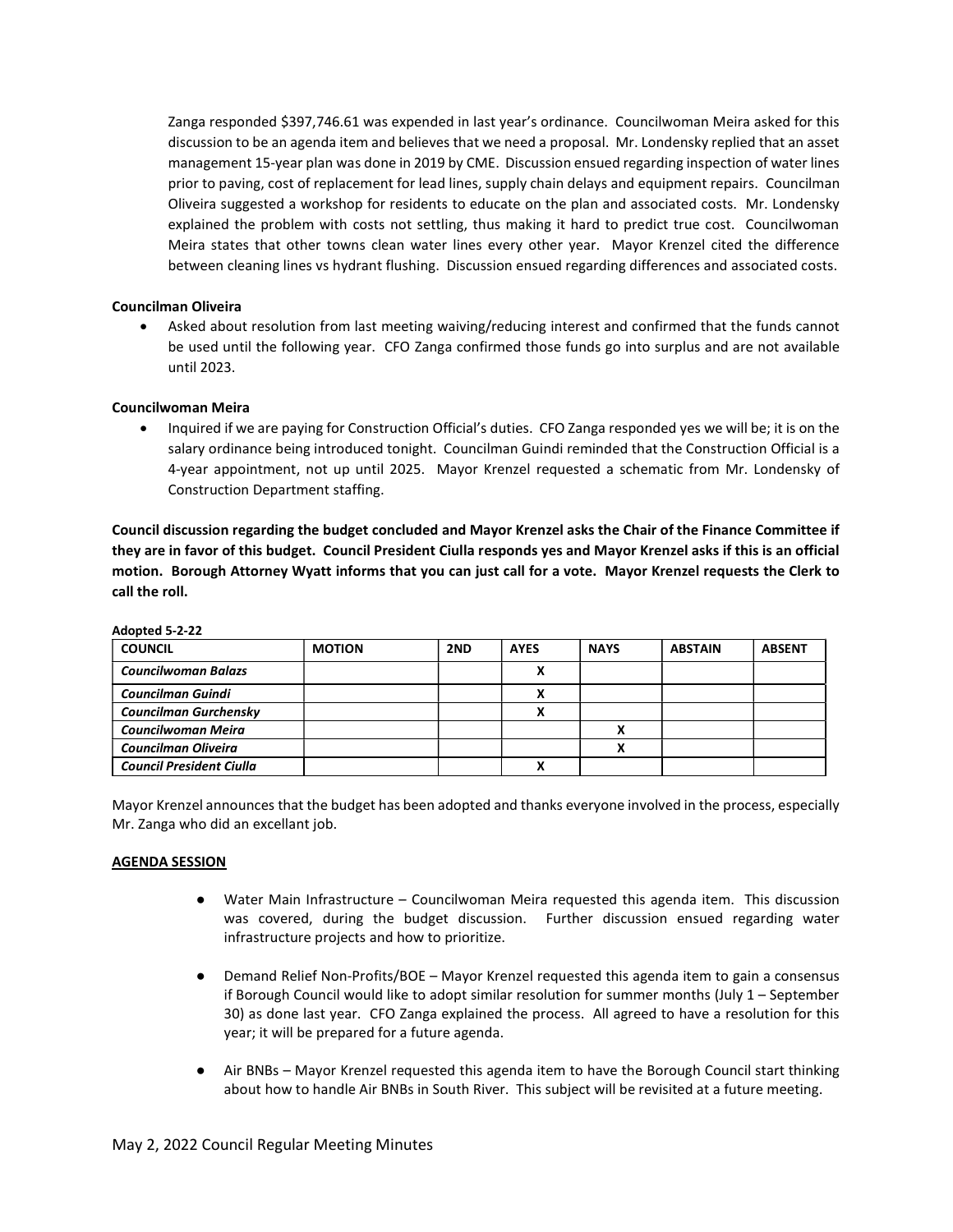Zanga responded \$397,746.61 was expended in last year's ordinance. Councilwoman Meira asked for this discussion to be an agenda item and believes that we need a proposal. Mr. Londensky replied that an asset management 15-year plan was done in 2019 by CME. Discussion ensued regarding inspection of water lines prior to paving, cost of replacement for lead lines, supply chain delays and equipment repairs. Councilman Oliveira suggested a workshop for residents to educate on the plan and associated costs. Mr. Londensky explained the problem with costs not settling, thus making it hard to predict true cost. Councilwoman Meira states that other towns clean water lines every other year. Mayor Krenzel cited the difference between cleaning lines vs hydrant flushing. Discussion ensued regarding differences and associated costs.

### Councilman Oliveira

 Asked about resolution from last meeting waiving/reducing interest and confirmed that the funds cannot be used until the following year. CFO Zanga confirmed those funds go into surplus and are not available until 2023.

### Councilwoman Meira

 Inquired if we are paying for Construction Official's duties. CFO Zanga responded yes we will be; it is on the salary ordinance being introduced tonight. Councilman Guindi reminded that the Construction Official is a 4-year appointment, not up until 2025. Mayor Krenzel requested a schematic from Mr. Londensky of Construction Department staffing.

Council discussion regarding the budget concluded and Mayor Krenzel asks the Chair of the Finance Committee if they are in favor of this budget. Council President Ciulla responds yes and Mayor Krenzel asks if this is an official motion. Borough Attorney Wyatt informs that you can just call for a vote. Mayor Krenzel requests the Clerk to call the roll.

| <b>COUNCIL</b>                  | <b>MOTION</b> | 2ND | <b>AYES</b> | <b>NAYS</b> | <b>ABSTAIN</b> | <b>ABSENT</b> |
|---------------------------------|---------------|-----|-------------|-------------|----------------|---------------|
| <b>Councilwoman Balazs</b>      |               |     |             |             |                |               |
| <b>Councilman Guindi</b>        |               |     |             |             |                |               |
| <b>Councilman Gurchensky</b>    |               |     |             |             |                |               |
| Councilwoman Meira              |               |     |             |             |                |               |
| <b>Councilman Oliveira</b>      |               |     |             |             |                |               |
| <b>Council President Ciulla</b> |               |     |             |             |                |               |

Adopted 5-2-22

Mayor Krenzel announces that the budget has been adopted and thanks everyone involved in the process, especially Mr. Zanga who did an excellant job.

#### AGENDA SESSION

- Water Main Infrastructure Councilwoman Meira requested this agenda item. This discussion was covered, during the budget discussion. Further discussion ensued regarding water infrastructure projects and how to prioritize.
- Demand Relief Non-Profits/BOE Mayor Krenzel requested this agenda item to gain a consensus if Borough Council would like to adopt similar resolution for summer months (July 1 – September 30) as done last year. CFO Zanga explained the process. All agreed to have a resolution for this year; it will be prepared for a future agenda.
- Air BNBs Mayor Krenzel requested this agenda item to have the Borough Council start thinking about how to handle Air BNBs in South River. This subject will be revisited at a future meeting.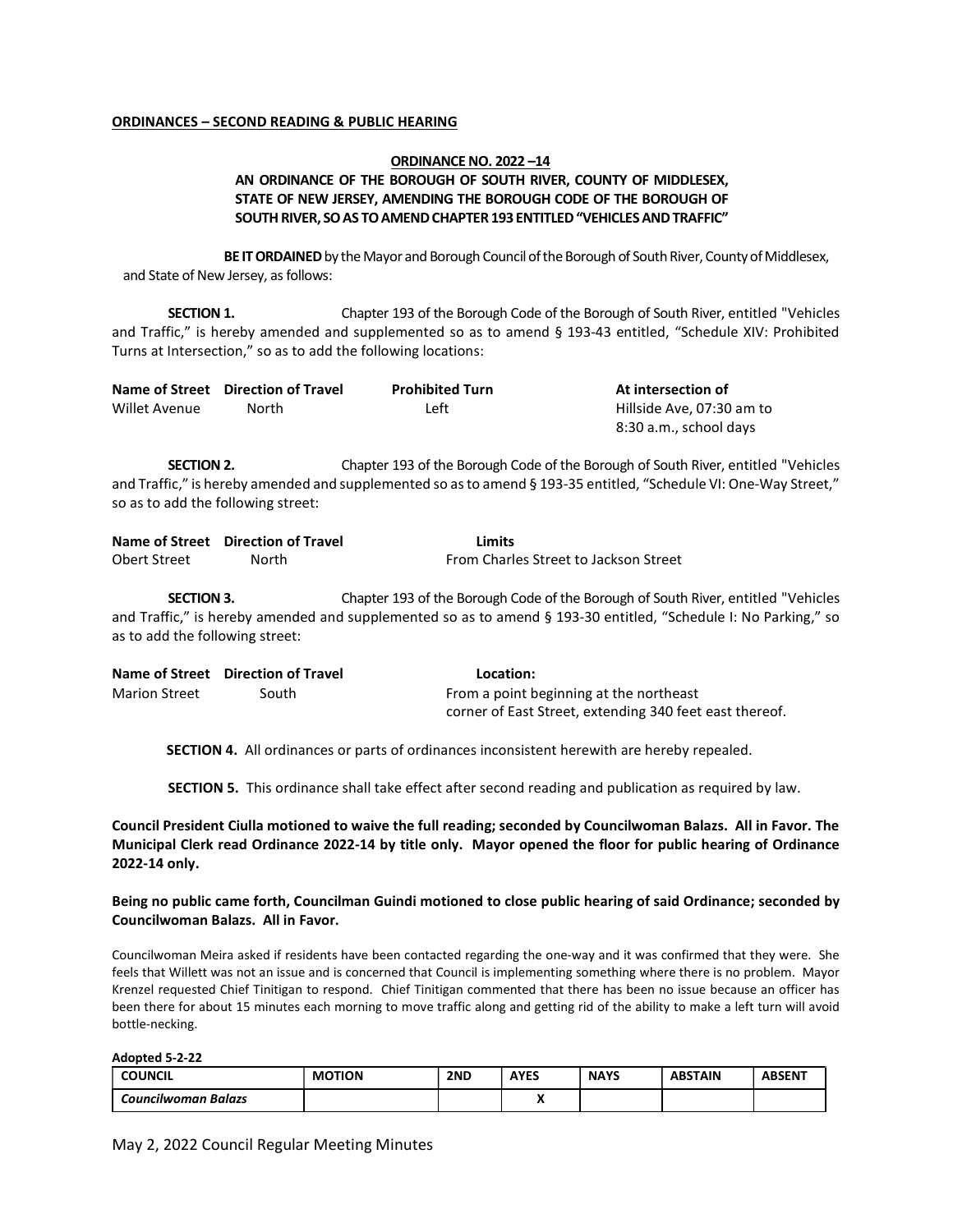#### ORDINANCES – SECOND READING & PUBLIC HEARING

### ORDINANCE NO. 2022 –14 AN ORDINANCE OF THE BOROUGH OF SOUTH RIVER, COUNTY OF MIDDLESEX, STATE OF NEW JERSEY, AMENDING THE BOROUGH CODE OF THE BOROUGH OF SOUTH RIVER, SO AS TO AMEND CHAPTER 193 ENTITLED "VEHICLES AND TRAFFIC"

BE IT ORDAINED by the Mayor and Borough Council of the Borough of South River, County of Middlesex, and State of New Jersey, as follows:

SECTION 1. Chapter 193 of the Borough Code of the Borough of South River, entitled "Vehicles" and Traffic," is hereby amended and supplemented so as to amend § 193-43 entitled, "Schedule XIV: Prohibited Turns at Intersection," so as to add the following locations:

|               | Name of Street Direction of Travel | <b>Prohibited Turn</b> | At intersection of        |
|---------------|------------------------------------|------------------------|---------------------------|
| Willet Avenue | North                              | Left                   | Hillside Ave. 07:30 am to |
|               |                                    |                        | 8:30 a.m., school days    |

SECTION 2. Chapter 193 of the Borough Code of the Borough of South River, entitled "Vehicles and Traffic," is hereby amended and supplemented so as to amend § 193-35 entitled, "Schedule VI: One-Way Street," so as to add the following street:

|              | Name of Street Direction of Travel | Limits                                |
|--------------|------------------------------------|---------------------------------------|
| Obert Street | North                              | From Charles Street to Jackson Street |

SECTION 3. Chapter 193 of the Borough Code of the Borough of South River, entitled "Vehicles" and Traffic," is hereby amended and supplemented so as to amend § 193-30 entitled, "Schedule I: No Parking," so as to add the following street:

|                      | Name of Street Direction of Travel | Location:                                               |
|----------------------|------------------------------------|---------------------------------------------------------|
| <b>Marion Street</b> | South                              | From a point beginning at the northeast                 |
|                      |                                    | corner of East Street, extending 340 feet east thereof. |

SECTION 4. All ordinances or parts of ordinances inconsistent herewith are hereby repealed.

SECTION 5. This ordinance shall take effect after second reading and publication as required by law.

Council President Ciulla motioned to waive the full reading; seconded by Councilwoman Balazs. All in Favor. The Municipal Clerk read Ordinance 2022-14 by title only. Mayor opened the floor for public hearing of Ordinance 2022-14 only.

#### Being no public came forth, Councilman Guindi motioned to close public hearing of said Ordinance; seconded by Councilwoman Balazs. All in Favor.

Councilwoman Meira asked if residents have been contacted regarding the one-way and it was confirmed that they were. She feels that Willett was not an issue and is concerned that Council is implementing something where there is no problem. Mayor Krenzel requested Chief Tinitigan to respond. Chief Tinitigan commented that there has been no issue because an officer has been there for about 15 minutes each morning to move traffic along and getting rid of the ability to make a left turn will avoid bottle-necking.

Adopted 5-2-22

| <b>COUNCIL</b>      | <b>MOTION</b> | 2ND | AYES | <b>NAYS</b> | <b>ABSTAIN</b> | <b>ABSENT</b> |
|---------------------|---------------|-----|------|-------------|----------------|---------------|
| Councilwoman Balazs |               |     | . .  |             |                |               |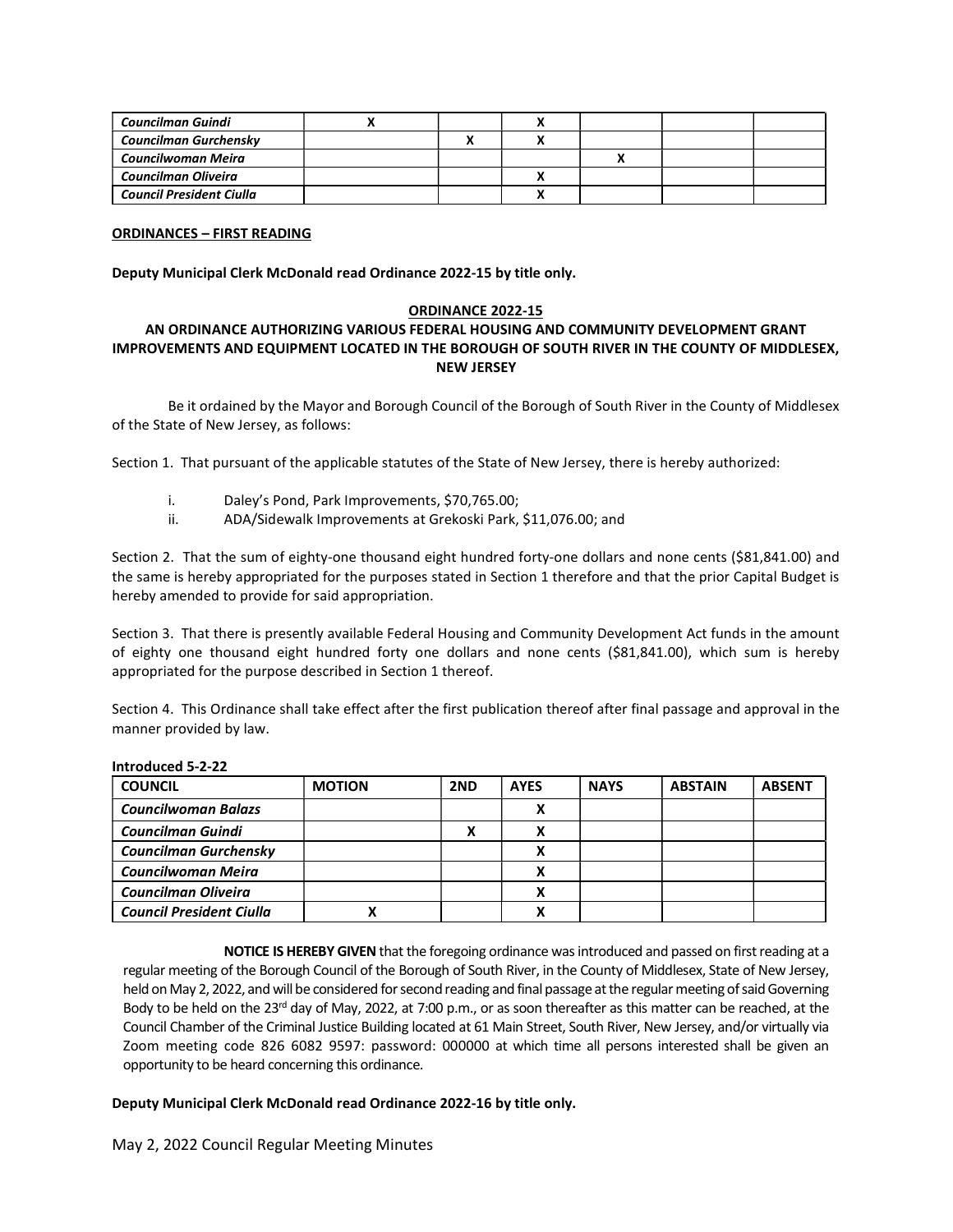| Councilman Guindi               |  |  |  |
|---------------------------------|--|--|--|
| Councilman Gurchensky           |  |  |  |
| Councilwoman Meira              |  |  |  |
| Councilman Oliveira             |  |  |  |
| <b>Council President Ciulla</b> |  |  |  |

#### ORDINANCES – FIRST READING

Deputy Municipal Clerk McDonald read Ordinance 2022-15 by title only.

#### ORDINANCE 2022-15

# AN ORDINANCE AUTHORIZING VARIOUS FEDERAL HOUSING AND COMMUNITY DEVELOPMENT GRANT IMPROVEMENTS AND EQUIPMENT LOCATED IN THE BOROUGH OF SOUTH RIVER IN THE COUNTY OF MIDDLESEX, NEW JERSEY

 Be it ordained by the Mayor and Borough Council of the Borough of South River in the County of Middlesex of the State of New Jersey, as follows:

Section 1. That pursuant of the applicable statutes of the State of New Jersey, there is hereby authorized:

- i. Daley's Pond, Park Improvements, \$70,765.00;
- ii. ADA/Sidewalk Improvements at Grekoski Park, \$11,076.00; and

Section 2. That the sum of eighty-one thousand eight hundred forty-one dollars and none cents (\$81,841.00) and the same is hereby appropriated for the purposes stated in Section 1 therefore and that the prior Capital Budget is hereby amended to provide for said appropriation.

Section 3. That there is presently available Federal Housing and Community Development Act funds in the amount of eighty one thousand eight hundred forty one dollars and none cents (\$81,841.00), which sum is hereby appropriated for the purpose described in Section 1 thereof.

Section 4. This Ordinance shall take effect after the first publication thereof after final passage and approval in the manner provided by law.

| <b>COUNCIL</b>                  | <b>MOTION</b> | 2ND | <b>AYES</b> | <b>NAYS</b> | <b>ABSTAIN</b> | <b>ABSENT</b> |
|---------------------------------|---------------|-----|-------------|-------------|----------------|---------------|
| <b>Councilwoman Balazs</b>      |               |     |             |             |                |               |
| <b>Councilman Guindi</b>        |               |     |             |             |                |               |
| Councilman Gurchensky           |               |     |             |             |                |               |
| Councilwoman Meira              |               |     |             |             |                |               |
| <b>Councilman Oliveira</b>      |               |     |             |             |                |               |
| <b>Council President Ciulla</b> |               |     |             |             |                |               |

#### Introduced 5-2-22

NOTICE IS HEREBY GIVEN that the foregoing ordinance was introduced and passed on first reading at a regular meeting of the Borough Council of the Borough of South River, in the County of Middlesex, State of New Jersey, held on May 2, 2022, and will be considered for second reading and final passage at the regular meeting of said Governing Body to be held on the 23<sup>rd</sup> day of May, 2022, at 7:00 p.m., or as soon thereafter as this matter can be reached, at the Council Chamber of the Criminal Justice Building located at 61 Main Street, South River, New Jersey, and/or virtually via Zoom meeting code 826 6082 9597: password: 000000 at which time all persons interested shall be given an opportunity to be heard concerning this ordinance.

# Deputy Municipal Clerk McDonald read Ordinance 2022-16 by title only.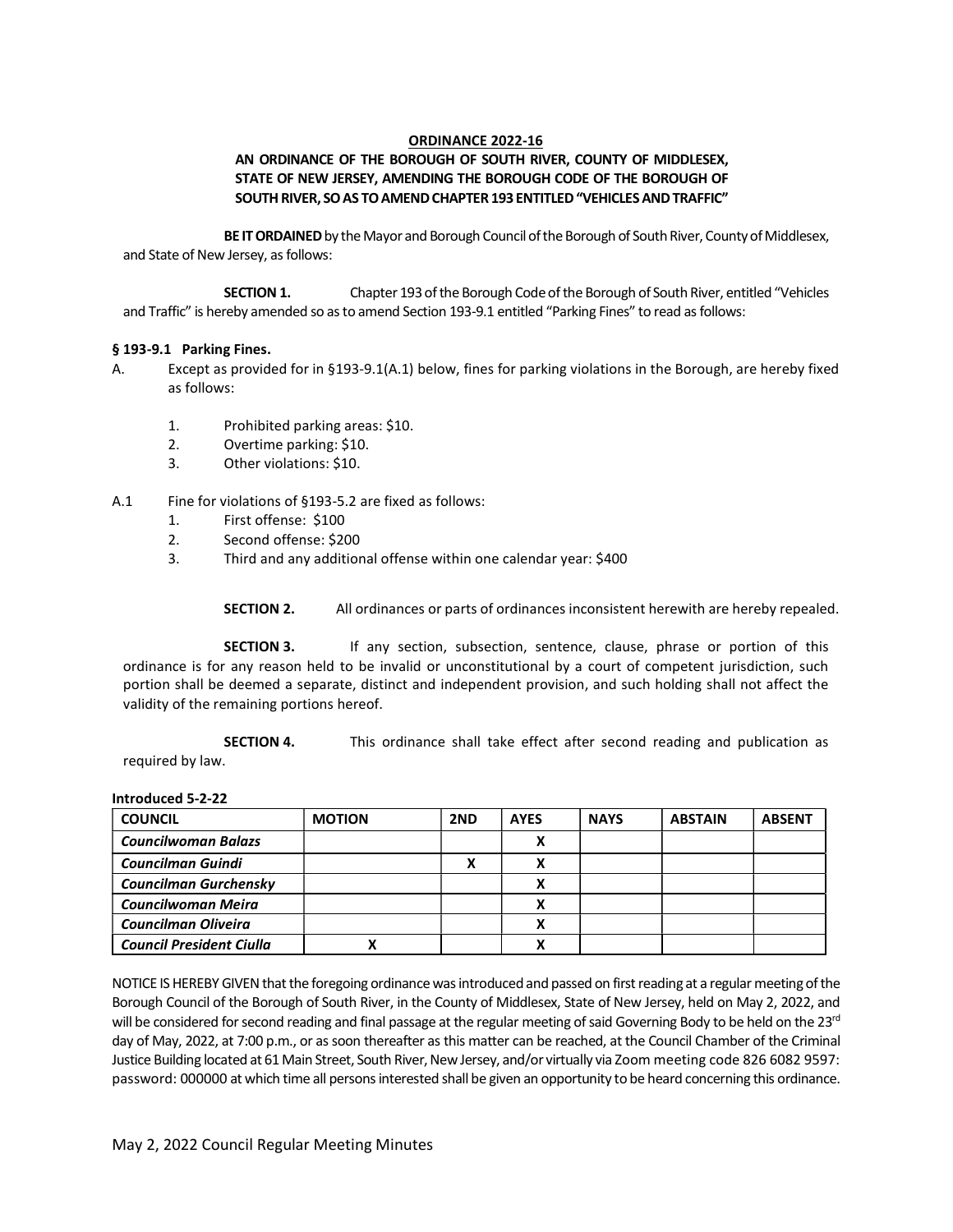### ORDINANCE 2022-16

# AN ORDINANCE OF THE BOROUGH OF SOUTH RIVER, COUNTY OF MIDDLESEX, STATE OF NEW JERSEY, AMENDING THE BOROUGH CODE OF THE BOROUGH OF SOUTH RIVER, SO AS TO AMEND CHAPTER 193 ENTITLED "VEHICLES AND TRAFFIC"

BE IT ORDAINED by the Mayor and Borough Council of the Borough of South River, County of Middlesex, and State of New Jersey, as follows:

SECTION 1. Chapter 193 of the Borough Code of the Borough of South River, entitled "Vehicles and Traffic" is hereby amended so as to amend Section 193-9.1 entitled "Parking Fines" to read as follows:

#### § 193-9.1 Parking Fines.

- A. Except as provided for in §193-9.1(A.1) below, fines for parking violations in the Borough, are hereby fixed as follows:
	- 1. Prohibited parking areas: \$10.
	- 2. Overtime parking: \$10.
	- 3. Other violations: \$10.
- A.1 Fine for violations of §193-5.2 are fixed as follows:
	- 1. First offense: \$100
	- 2. Second offense: \$200
	- 3. Third and any additional offense within one calendar year: \$400

SECTION 2. All ordinances or parts of ordinances inconsistent herewith are hereby repealed.

**SECTION 3.** If any section, subsection, sentence, clause, phrase or portion of this ordinance is for any reason held to be invalid or unconstitutional by a court of competent jurisdiction, such portion shall be deemed a separate, distinct and independent provision, and such holding shall not affect the validity of the remaining portions hereof.

SECTION 4. This ordinance shall take effect after second reading and publication as required by law.

Introduced 5-2-22

| <b>COUNCIL</b>                  | <b>MOTION</b> | 2ND | <b>AYES</b> | <b>NAYS</b> | <b>ABSTAIN</b> | <b>ABSENT</b> |
|---------------------------------|---------------|-----|-------------|-------------|----------------|---------------|
| <b>Councilwoman Balazs</b>      |               |     |             |             |                |               |
| <b>Councilman Guindi</b>        |               |     |             |             |                |               |
| Councilman Gurchensky           |               |     |             |             |                |               |
| <b>Councilwoman Meira</b>       |               |     |             |             |                |               |
| <b>Councilman Oliveira</b>      |               |     |             |             |                |               |
| <b>Council President Ciulla</b> |               |     |             |             |                |               |

NOTICE IS HEREBY GIVEN that the foregoing ordinance was introduced and passed on first reading at a regular meeting of the Borough Council of the Borough of South River, in the County of Middlesex, State of New Jersey, held on May 2, 2022, and will be considered for second reading and final passage at the regular meeting of said Governing Body to be held on the 23<sup>rd</sup> day of May, 2022, at 7:00 p.m., or as soon thereafter as this matter can be reached, at the Council Chamber of the Criminal Justice Building located at 61 Main Street, South River, New Jersey, and/or virtually via Zoom meeting code 826 6082 9597: password: 000000 at which time all persons interested shall be given an opportunity to be heard concerning this ordinance.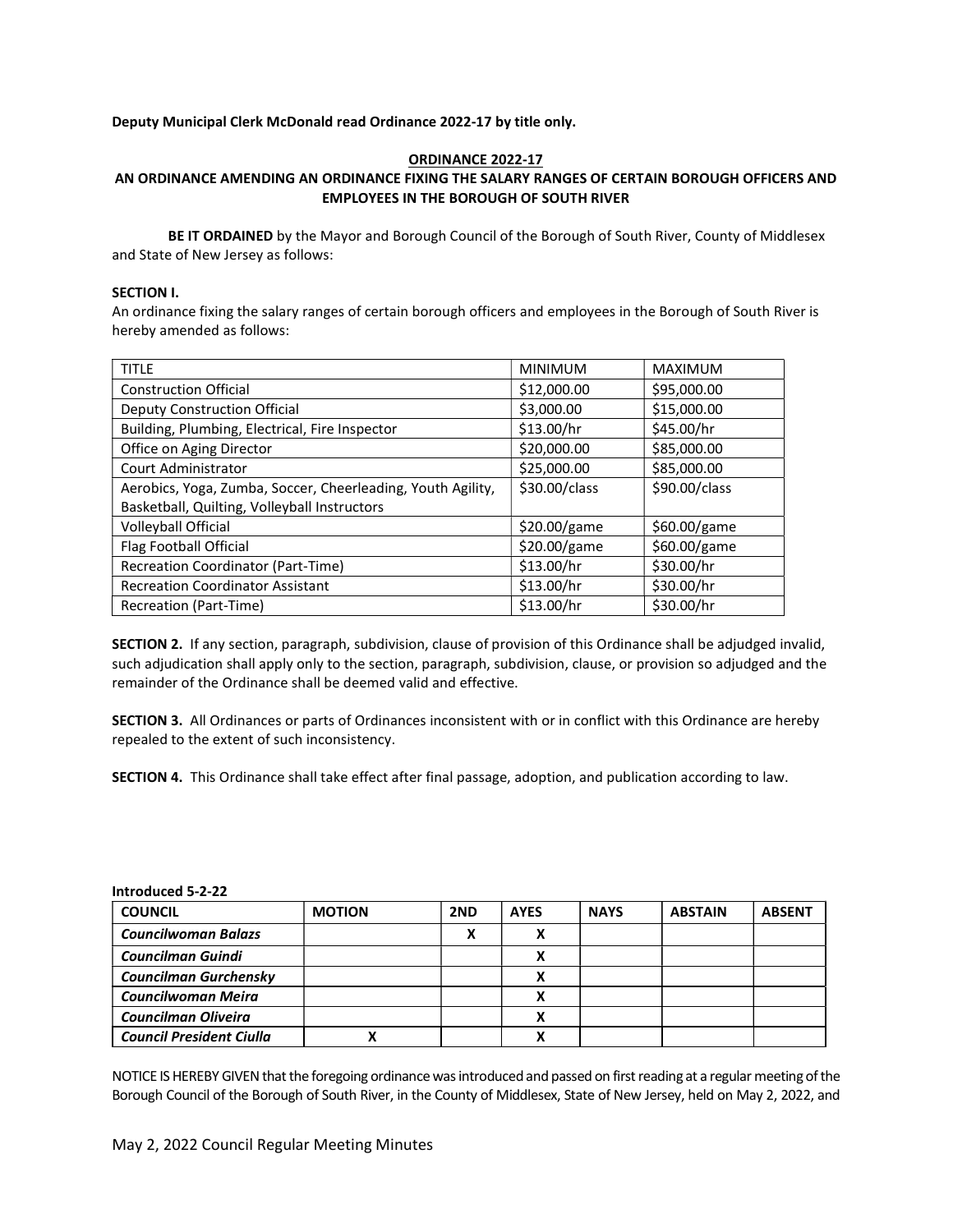# Deputy Municipal Clerk McDonald read Ordinance 2022-17 by title only.

#### ORDINANCE 2022-17 AN ORDINANCE AMENDING AN ORDINANCE FIXING THE SALARY RANGES OF CERTAIN BOROUGH OFFICERS AND EMPLOYEES IN THE BOROUGH OF SOUTH RIVER

BE IT ORDAINED by the Mayor and Borough Council of the Borough of South River, County of Middlesex and State of New Jersey as follows:

#### SECTION I.

An ordinance fixing the salary ranges of certain borough officers and employees in the Borough of South River is hereby amended as follows:

| <b>TITLE</b>                                                | <b>MINIMUM</b> | <b>MAXIMUM</b> |
|-------------------------------------------------------------|----------------|----------------|
| <b>Construction Official</b>                                | \$12,000.00    | \$95,000.00    |
| Deputy Construction Official                                | \$3,000.00     | \$15,000.00    |
| Building, Plumbing, Electrical, Fire Inspector              | \$13.00/hr     | \$45.00/hr     |
| Office on Aging Director                                    | \$20,000.00    | \$85,000.00    |
| Court Administrator                                         | \$25,000.00    | \$85,000.00    |
| Aerobics, Yoga, Zumba, Soccer, Cheerleading, Youth Agility, | \$30.00/class  | \$90.00/class  |
| Basketball, Quilting, Volleyball Instructors                |                |                |
| Volleyball Official                                         | \$20.00/game   | \$60.00/game   |
| Flag Football Official                                      | \$20.00/game   | \$60.00/game   |
| Recreation Coordinator (Part-Time)                          | \$13.00/hr     | \$30.00/hr     |
| <b>Recreation Coordinator Assistant</b>                     | \$13.00/hr     | \$30.00/hr     |
| Recreation (Part-Time)                                      | \$13.00/hr     | \$30.00/hr     |

SECTION 2. If any section, paragraph, subdivision, clause of provision of this Ordinance shall be adjudged invalid, such adjudication shall apply only to the section, paragraph, subdivision, clause, or provision so adjudged and the remainder of the Ordinance shall be deemed valid and effective.

SECTION 3. All Ordinances or parts of Ordinances inconsistent with or in conflict with this Ordinance are hereby repealed to the extent of such inconsistency.

SECTION 4. This Ordinance shall take effect after final passage, adoption, and publication according to law.

| <b>COUNCIL</b>                  | <b>MOTION</b> | 2ND | <b>AYES</b> | <b>NAYS</b> | <b>ABSTAIN</b> | <b>ABSENT</b> |
|---------------------------------|---------------|-----|-------------|-------------|----------------|---------------|
| <b>Councilwoman Balazs</b>      |               | v   |             |             |                |               |
| <b>Councilman Guindi</b>        |               |     |             |             |                |               |
| Councilman Gurchensky           |               |     |             |             |                |               |
| Councilwoman Meira              |               |     |             |             |                |               |
| <b>Councilman Oliveira</b>      |               |     |             |             |                |               |
| <b>Council President Ciulla</b> |               |     |             |             |                |               |

Introduced 5-2-22

NOTICE IS HEREBY GIVEN that the foregoing ordinance was introduced and passed on first reading at a regular meeting of the Borough Council of the Borough of South River, in the County of Middlesex, State of New Jersey, held on May 2, 2022, and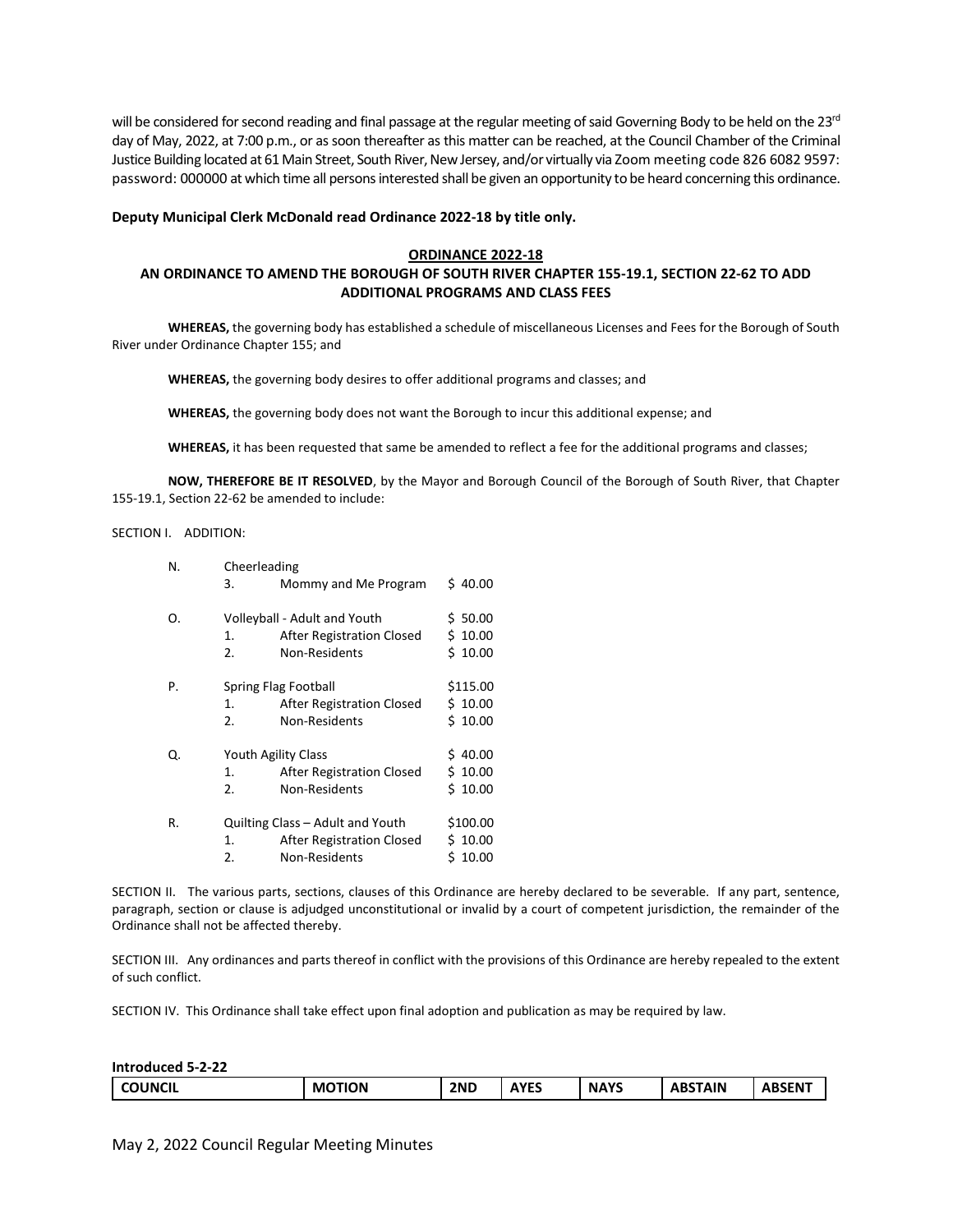will be considered for second reading and final passage at the regular meeting of said Governing Body to be held on the 23<sup>rd</sup> day of May, 2022, at 7:00 p.m., or as soon thereafter as this matter can be reached, at the Council Chamber of the Criminal Justice Building located at 61 Main Street, South River, New Jersey, and/or virtually via Zoom meeting code 826 6082 9597: password: 000000 at which time all persons interested shall be given an opportunity to be heard concerning this ordinance.

#### Deputy Municipal Clerk McDonald read Ordinance 2022-18 by title only.

#### ORDINANCE 2022-18

### AN ORDINANCE TO AMEND THE BOROUGH OF SOUTH RIVER CHAPTER 155-19.1, SECTION 22-62 TO ADD ADDITIONAL PROGRAMS AND CLASS FEES

WHEREAS, the governing body has established a schedule of miscellaneous Licenses and Fees for the Borough of South River under Ordinance Chapter 155; and

WHEREAS, the governing body desires to offer additional programs and classes; and

WHEREAS, the governing body does not want the Borough to incur this additional expense; and

WHEREAS, it has been requested that same be amended to reflect a fee for the additional programs and classes;

NOW, THEREFORE BE IT RESOLVED, by the Mayor and Borough Council of the Borough of South River, that Chapter 155-19.1, Section 22-62 be amended to include:

SECTION I. ADDITION:

| N. | Cheerleading |                                                                                       |                                   |
|----|--------------|---------------------------------------------------------------------------------------|-----------------------------------|
|    | 3.           | Mommy and Me Program                                                                  | \$40.00                           |
| Ο. | 1.<br>2.     | Volleyball - Adult and Youth<br>After Registration Closed<br>Non-Residents            | \$50.00<br>\$10.00<br>\$10.00     |
| Ρ. | 1.<br>2.     | Spring Flag Football<br>After Registration Closed<br>Non-Residents                    | \$115.00<br>\$10.00<br>\$10.00    |
| Q. | 1.<br>2.     | Youth Agility Class<br>After Registration Closed<br>Non-Residents                     | 40.00<br>S.<br>\$10.00<br>\$10.00 |
| R. | 1.<br>2.     | Quilting Class - Adult and Youth<br><b>After Registration Closed</b><br>Non-Residents | \$100.00<br>\$10.00<br>\$10.00    |

SECTION II. The various parts, sections, clauses of this Ordinance are hereby declared to be severable. If any part, sentence, paragraph, section or clause is adjudged unconstitutional or invalid by a court of competent jurisdiction, the remainder of the Ordinance shall not be affected thereby.

SECTION III. Any ordinances and parts thereof in conflict with the provisions of this Ordinance are hereby repealed to the extent of such conflict.

SECTION IV. This Ordinance shall take effect upon final adoption and publication as may be required by law.

| Introduced 5-2-22 |               |     |      |             |                |               |
|-------------------|---------------|-----|------|-------------|----------------|---------------|
| <b>COUNCIL</b>    | <b>MOTION</b> | 2ND | AYES | <b>NAYS</b> | <b>ABSTAIN</b> | <b>ABSENT</b> |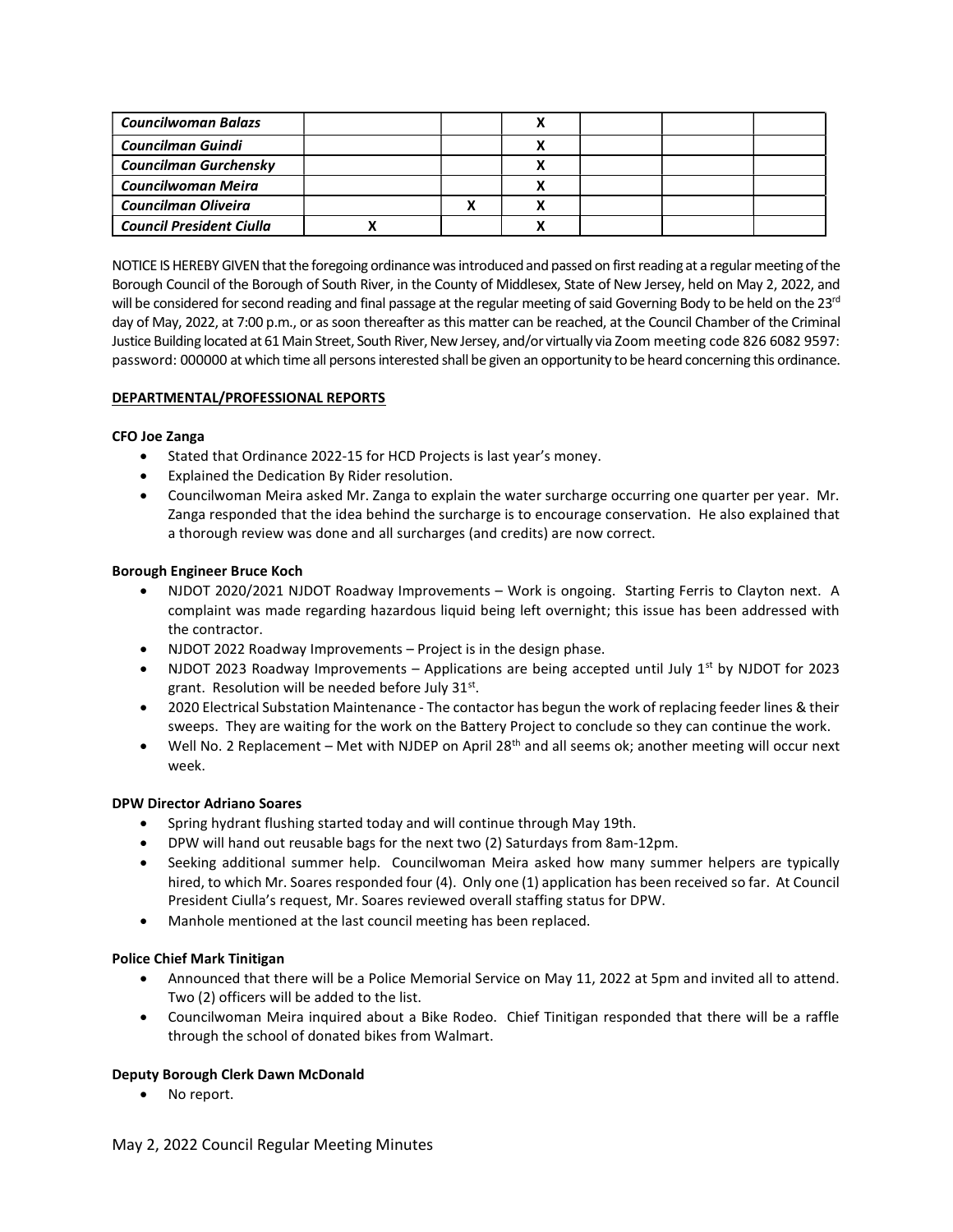| <b>Councilwoman Balazs</b>      |  |  |  |
|---------------------------------|--|--|--|
| <b>Councilman Guindi</b>        |  |  |  |
| <b>Councilman Gurchensky</b>    |  |  |  |
| Councilwoman Meira              |  |  |  |
| Councilman Oliveira             |  |  |  |
| <b>Council President Ciulla</b> |  |  |  |

NOTICE IS HEREBY GIVEN that the foregoing ordinance was introduced and passed on first reading at a regular meeting of the Borough Council of the Borough of South River, in the County of Middlesex, State of New Jersey, held on May 2, 2022, and will be considered for second reading and final passage at the regular meeting of said Governing Body to be held on the 23<sup>rd</sup> day of May, 2022, at 7:00 p.m., or as soon thereafter as this matter can be reached, at the Council Chamber of the Criminal Justice Building located at 61 Main Street, South River, New Jersey, and/or virtually via Zoom meeting code 826 6082 9597: password: 000000 at which time all persons interested shall be given an opportunity to be heard concerning this ordinance.

### DEPARTMENTAL/PROFESSIONAL REPORTS

### CFO Joe Zanga

- Stated that Ordinance 2022-15 for HCD Projects is last year's money.
- Explained the Dedication By Rider resolution.
- Councilwoman Meira asked Mr. Zanga to explain the water surcharge occurring one quarter per year. Mr. Zanga responded that the idea behind the surcharge is to encourage conservation. He also explained that a thorough review was done and all surcharges (and credits) are now correct.

### Borough Engineer Bruce Koch

- NJDOT 2020/2021 NJDOT Roadway Improvements Work is ongoing. Starting Ferris to Clayton next. A complaint was made regarding hazardous liquid being left overnight; this issue has been addressed with the contractor.
- NJDOT 2022 Roadway Improvements Project is in the design phase.
- NJDOT 2023 Roadway Improvements Applications are being accepted until July  $1^{st}$  by NJDOT for 2023 grant. Resolution will be needed before July 31st.
- 2020 Electrical Substation Maintenance The contactor has begun the work of replacing feeder lines & their sweeps. They are waiting for the work on the Battery Project to conclude so they can continue the work.
- $\bullet$  Well No. 2 Replacement Met with NJDEP on April 28<sup>th</sup> and all seems ok; another meeting will occur next week.

# DPW Director Adriano Soares

- Spring hydrant flushing started today and will continue through May 19th.
- DPW will hand out reusable bags for the next two (2) Saturdays from 8am-12pm.
- Seeking additional summer help. Councilwoman Meira asked how many summer helpers are typically hired, to which Mr. Soares responded four (4). Only one (1) application has been received so far. At Council President Ciulla's request, Mr. Soares reviewed overall staffing status for DPW.
- Manhole mentioned at the last council meeting has been replaced.

# Police Chief Mark Tinitigan

- Announced that there will be a Police Memorial Service on May 11, 2022 at 5pm and invited all to attend. Two (2) officers will be added to the list.
- Councilwoman Meira inquired about a Bike Rodeo. Chief Tinitigan responded that there will be a raffle through the school of donated bikes from Walmart.

# Deputy Borough Clerk Dawn McDonald

• No report.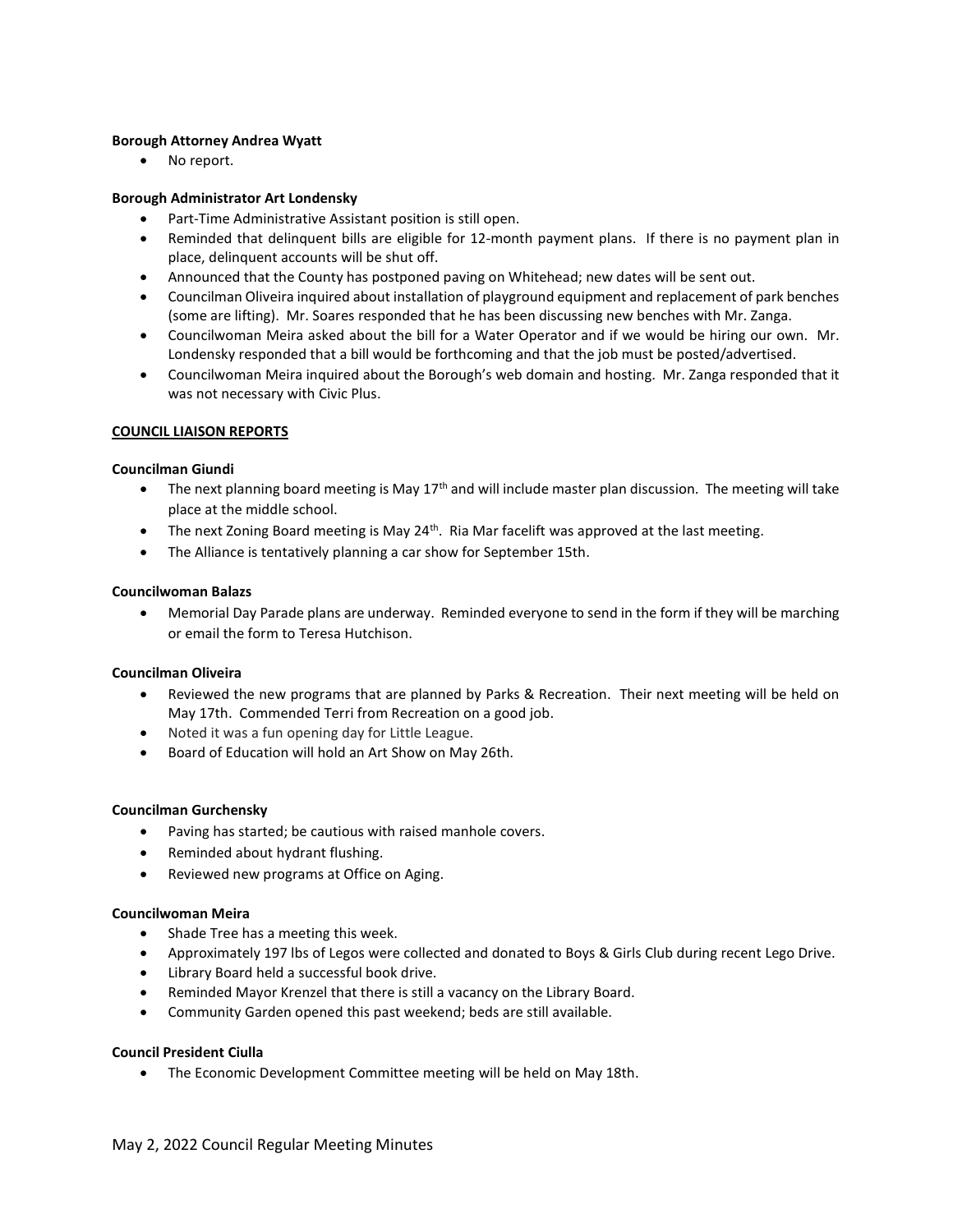### Borough Attorney Andrea Wyatt

• No report.

### Borough Administrator Art Londensky

- Part-Time Administrative Assistant position is still open.
- Reminded that delinquent bills are eligible for 12-month payment plans. If there is no payment plan in place, delinquent accounts will be shut off.
- Announced that the County has postponed paving on Whitehead; new dates will be sent out.
- Councilman Oliveira inquired about installation of playground equipment and replacement of park benches (some are lifting). Mr. Soares responded that he has been discussing new benches with Mr. Zanga.
- Councilwoman Meira asked about the bill for a Water Operator and if we would be hiring our own. Mr. Londensky responded that a bill would be forthcoming and that the job must be posted/advertised.
- Councilwoman Meira inquired about the Borough's web domain and hosting. Mr. Zanga responded that it was not necessary with Civic Plus.

### COUNCIL LIAISON REPORTS

### Councilman Giundi

- The next planning board meeting is May  $17<sup>th</sup>$  and will include master plan discussion. The meeting will take place at the middle school.
- The next Zoning Board meeting is May 24<sup>th</sup>. Ria Mar facelift was approved at the last meeting.
- The Alliance is tentatively planning a car show for September 15th.

### Councilwoman Balazs

 Memorial Day Parade plans are underway. Reminded everyone to send in the form if they will be marching or email the form to Teresa Hutchison.

# Councilman Oliveira

- Reviewed the new programs that are planned by Parks & Recreation. Their next meeting will be held on May 17th. Commended Terri from Recreation on a good job.
- Noted it was a fun opening day for Little League.
- Board of Education will hold an Art Show on May 26th.

# Councilman Gurchensky

- Paving has started; be cautious with raised manhole covers.
- Reminded about hydrant flushing.
- Reviewed new programs at Office on Aging.

# Councilwoman Meira

- Shade Tree has a meeting this week.
- Approximately 197 lbs of Legos were collected and donated to Boys & Girls Club during recent Lego Drive.
- Library Board held a successful book drive.
- Reminded Mayor Krenzel that there is still a vacancy on the Library Board.
- Community Garden opened this past weekend; beds are still available.

# Council President Ciulla

• The Economic Development Committee meeting will be held on May 18th.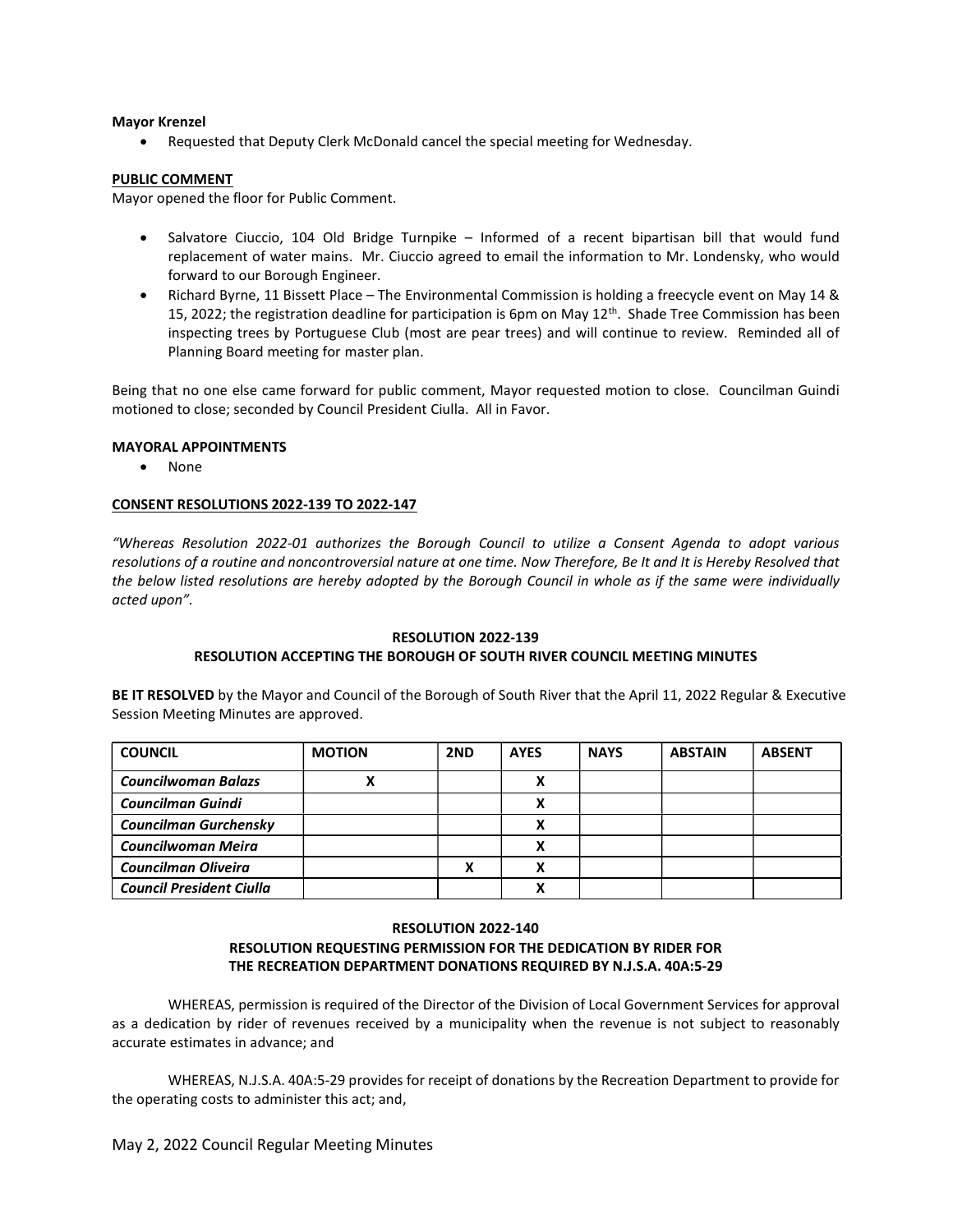#### Mayor Krenzel

Requested that Deputy Clerk McDonald cancel the special meeting for Wednesday.

# PUBLIC COMMENT

Mayor opened the floor for Public Comment.

- Salvatore Ciuccio, 104 Old Bridge Turnpike Informed of a recent bipartisan bill that would fund replacement of water mains. Mr. Ciuccio agreed to email the information to Mr. Londensky, who would forward to our Borough Engineer.
- Richard Byrne, 11 Bissett Place The Environmental Commission is holding a freecycle event on May 14 & 15, 2022; the registration deadline for participation is 6pm on May  $12<sup>th</sup>$ . Shade Tree Commission has been inspecting trees by Portuguese Club (most are pear trees) and will continue to review. Reminded all of Planning Board meeting for master plan.

Being that no one else came forward for public comment, Mayor requested motion to close. Councilman Guindi motioned to close; seconded by Council President Ciulla. All in Favor.

### MAYORAL APPOINTMENTS

None

#### CONSENT RESOLUTIONS 2022-139 TO 2022-147

"Whereas Resolution 2022-01 authorizes the Borough Council to utilize a Consent Agenda to adopt various resolutions of a routine and noncontroversial nature at one time. Now Therefore, Be It and It is Hereby Resolved that the below listed resolutions are hereby adopted by the Borough Council in whole as if the same were individually acted upon".

# RESOLUTION 2022-139

# RESOLUTION ACCEPTING THE BOROUGH OF SOUTH RIVER COUNCIL MEETING MINUTES

BE IT RESOLVED by the Mayor and Council of the Borough of South River that the April 11, 2022 Regular & Executive Session Meeting Minutes are approved.

| <b>COUNCIL</b>                  | <b>MOTION</b> | 2ND | <b>AYES</b> | <b>NAYS</b> | <b>ABSTAIN</b> | <b>ABSENT</b> |
|---------------------------------|---------------|-----|-------------|-------------|----------------|---------------|
| <b>Councilwoman Balazs</b>      | Λ             |     |             |             |                |               |
| <b>Councilman Guindi</b>        |               |     |             |             |                |               |
| <b>Councilman Gurchensky</b>    |               |     |             |             |                |               |
| Councilwoman Meira              |               |     | v           |             |                |               |
| <b>Councilman Oliveira</b>      |               |     |             |             |                |               |
| <b>Council President Ciulla</b> |               |     |             |             |                |               |

# RESOLUTION 2022-140 RESOLUTION REQUESTING PERMISSION FOR THE DEDICATION BY RIDER FOR THE RECREATION DEPARTMENT DONATIONS REQUIRED BY N.J.S.A. 40A:5-29

WHEREAS, permission is required of the Director of the Division of Local Government Services for approval as a dedication by rider of revenues received by a municipality when the revenue is not subject to reasonably accurate estimates in advance; and

WHEREAS, N.J.S.A. 40A:5-29 provides for receipt of donations by the Recreation Department to provide for the operating costs to administer this act; and,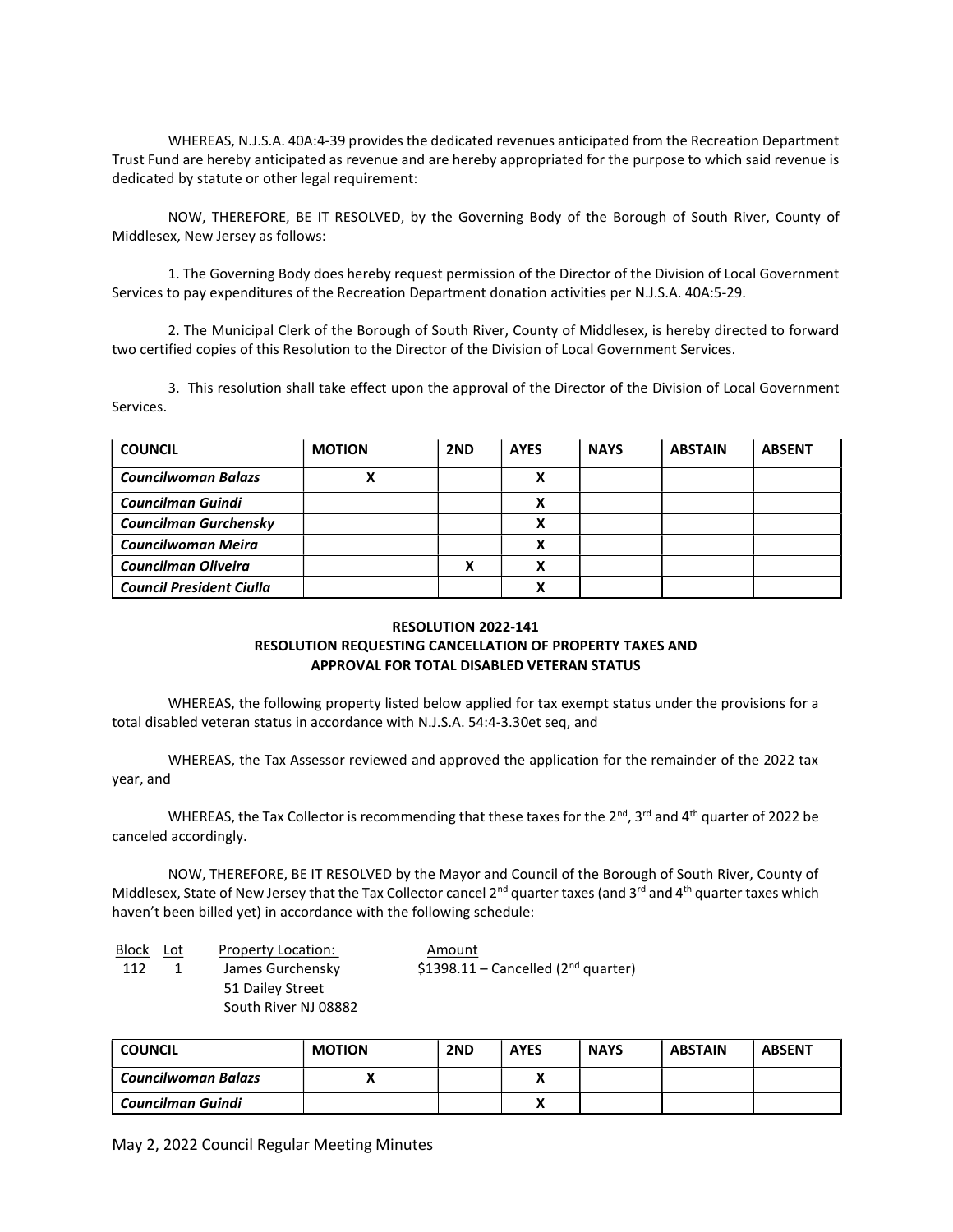WHEREAS, N.J.S.A. 40A:4-39 provides the dedicated revenues anticipated from the Recreation Department Trust Fund are hereby anticipated as revenue and are hereby appropriated for the purpose to which said revenue is dedicated by statute or other legal requirement:

NOW, THEREFORE, BE IT RESOLVED, by the Governing Body of the Borough of South River, County of Middlesex, New Jersey as follows:

1. The Governing Body does hereby request permission of the Director of the Division of Local Government Services to pay expenditures of the Recreation Department donation activities per N.J.S.A. 40A:5-29.

2. The Municipal Clerk of the Borough of South River, County of Middlesex, is hereby directed to forward two certified copies of this Resolution to the Director of the Division of Local Government Services.

3. This resolution shall take effect upon the approval of the Director of the Division of Local Government Services.

| <b>COUNCIL</b>                  | <b>MOTION</b> | 2ND | <b>AYES</b> | <b>NAYS</b> | <b>ABSTAIN</b> | <b>ABSENT</b> |
|---------------------------------|---------------|-----|-------------|-------------|----------------|---------------|
| <b>Councilwoman Balazs</b>      |               |     | χ           |             |                |               |
| <b>Councilman Guindi</b>        |               |     |             |             |                |               |
| <b>Councilman Gurchensky</b>    |               |     |             |             |                |               |
| Councilwoman Meira              |               |     |             |             |                |               |
| <b>Councilman Oliveira</b>      |               |     |             |             |                |               |
| <b>Council President Ciulla</b> |               |     |             |             |                |               |

# RESOLUTION 2022-141 RESOLUTION REQUESTING CANCELLATION OF PROPERTY TAXES AND APPROVAL FOR TOTAL DISABLED VETERAN STATUS

WHEREAS, the following property listed below applied for tax exempt status under the provisions for a total disabled veteran status in accordance with N.J.S.A. 54:4-3.30et seq, and

 WHEREAS, the Tax Assessor reviewed and approved the application for the remainder of the 2022 tax year, and

WHEREAS, the Tax Collector is recommending that these taxes for the  $2^{nd}$ , 3<sup>rd</sup> and 4<sup>th</sup> quarter of 2022 be canceled accordingly.

 NOW, THEREFORE, BE IT RESOLVED by the Mayor and Council of the Borough of South River, County of Middlesex, State of New Jersey that the Tax Collector cancel 2<sup>nd</sup> quarter taxes (and 3<sup>rd</sup> and 4<sup>th</sup> quarter taxes which haven't been billed yet) in accordance with the following schedule:

| Block | Lot | Property Location:   | Amount                                 |
|-------|-----|----------------------|----------------------------------------|
| 112   | 1   | James Gurchensky     | \$1398.11 – Cancelled ( $2nd$ quarter) |
|       |     | 51 Dailey Street     |                                        |
|       |     | South River NJ 08882 |                                        |

| <b>COUNCIL</b>      | <b>MOTION</b> | 2ND | <b>AYES</b> | <b>NAYS</b> | <b>ABSTAIN</b> | <b>ABSENT</b> |
|---------------------|---------------|-----|-------------|-------------|----------------|---------------|
| Councilwoman Balazs |               |     |             |             |                |               |
| Councilman Guindi   |               |     |             |             |                |               |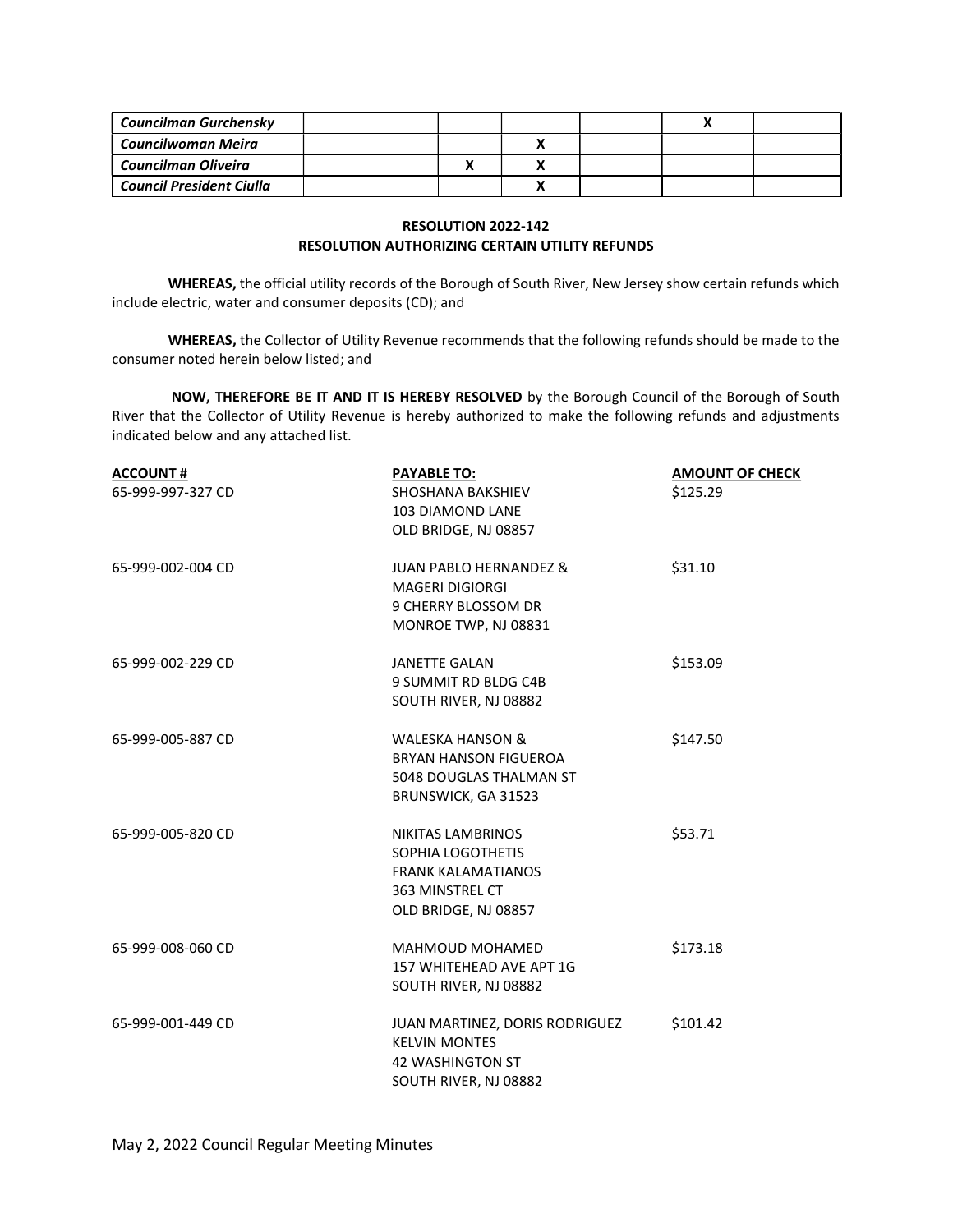| Councilman Gurchensky           |  |  |  |
|---------------------------------|--|--|--|
| Councilwoman Meira              |  |  |  |
| Councilman Oliveira             |  |  |  |
| <b>Council President Ciulla</b> |  |  |  |

# RESOLUTION 2022-142 RESOLUTION AUTHORIZING CERTAIN UTILITY REFUNDS

WHEREAS, the official utility records of the Borough of South River, New Jersey show certain refunds which include electric, water and consumer deposits (CD); and

WHEREAS, the Collector of Utility Revenue recommends that the following refunds should be made to the consumer noted herein below listed; and

NOW, THEREFORE BE IT AND IT IS HEREBY RESOLVED by the Borough Council of the Borough of South River that the Collector of Utility Revenue is hereby authorized to make the following refunds and adjustments indicated below and any attached list.

| <b>ACCOUNT#</b><br>65-999-997-327 CD | <b>PAYABLE TO:</b><br><b>SHOSHANA BAKSHIEV</b><br><b>103 DIAMOND LANE</b><br>OLD BRIDGE, NJ 08857              | <b>AMOUNT OF CHECK</b><br>\$125.29 |
|--------------------------------------|----------------------------------------------------------------------------------------------------------------|------------------------------------|
| 65-999-002-004 CD                    | <b>JUAN PABLO HERNANDEZ &amp;</b><br><b>MAGERI DIGIORGI</b><br>9 CHERRY BLOSSOM DR<br>MONROE TWP, NJ 08831     | \$31.10                            |
| 65-999-002-229 CD                    | <b>JANETTE GALAN</b><br>9 SUMMIT RD BLDG C4B<br>SOUTH RIVER, NJ 08882                                          | \$153.09                           |
| 65-999-005-887 CD                    | <b>WALESKA HANSON &amp;</b><br><b>BRYAN HANSON FIGUEROA</b><br>5048 DOUGLAS THALMAN ST<br>BRUNSWICK, GA 31523  | \$147.50                           |
| 65-999-005-820 CD                    | NIKITAS LAMBRINOS<br>SOPHIA LOGOTHETIS<br><b>FRANK KALAMATIANOS</b><br>363 MINSTREL CT<br>OLD BRIDGE, NJ 08857 | \$53.71                            |
| 65-999-008-060 CD                    | <b>MAHMOUD MOHAMED</b><br>157 WHITEHEAD AVE APT 1G<br>SOUTH RIVER, NJ 08882                                    | \$173.18                           |
| 65-999-001-449 CD                    | JUAN MARTINEZ, DORIS RODRIGUEZ<br><b>KELVIN MONTES</b><br><b>42 WASHINGTON ST</b><br>SOUTH RIVER, NJ 08882     | \$101.42                           |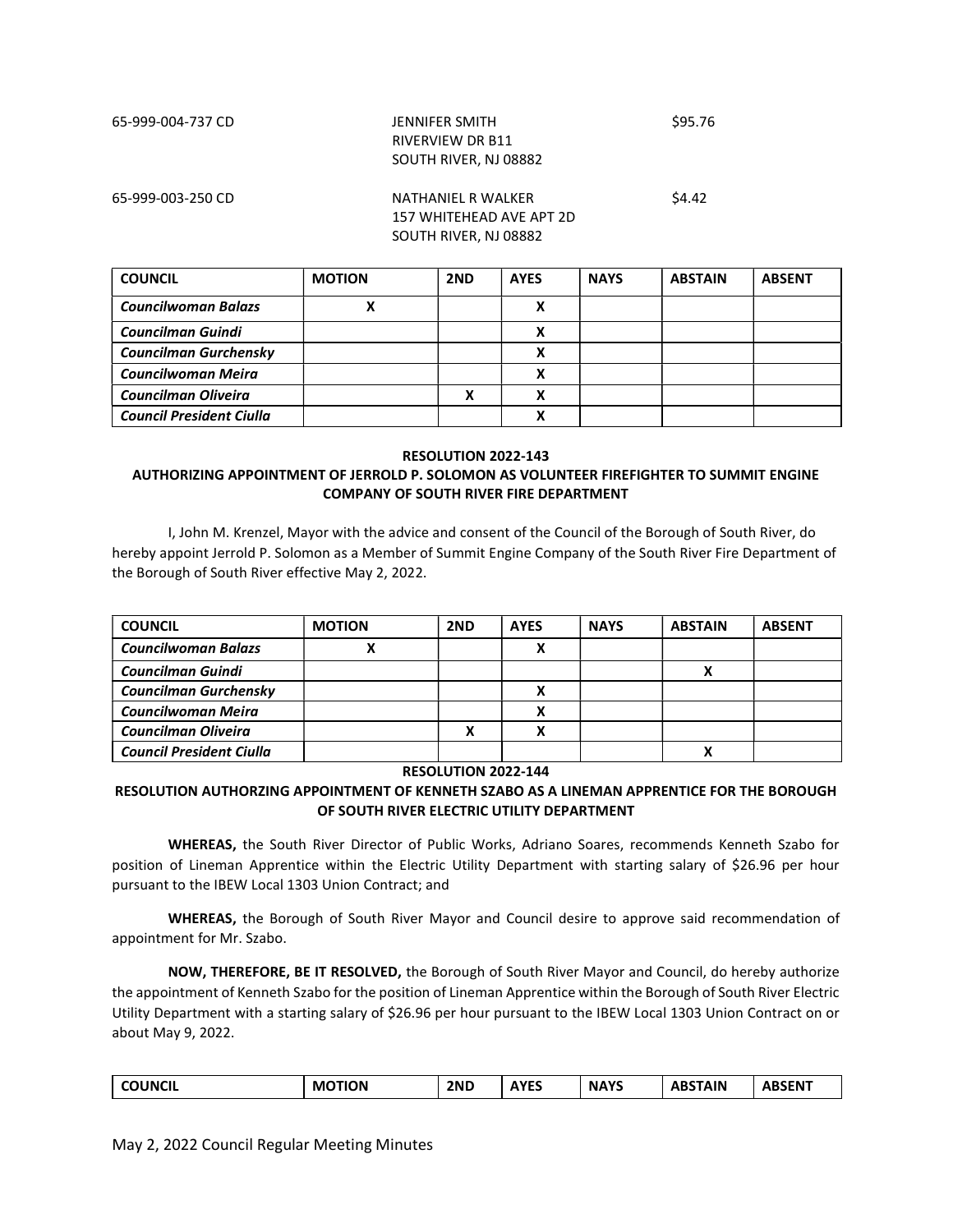# 65-999-004-737 CD JENNIFER SMITH \$95.76 RIVERVIEW DR B11 SOUTH RIVER, NJ 08882

# 65-999-003-250 CD NATHANIEL R WALKER \$4.42 157 WHITEHEAD AVE APT 2D SOUTH RIVER, NJ 08882

| <b>COUNCIL</b>                  | <b>MOTION</b> | 2ND | <b>AYES</b>  | <b>NAYS</b> | <b>ABSTAIN</b> | <b>ABSENT</b> |
|---------------------------------|---------------|-----|--------------|-------------|----------------|---------------|
| <b>Councilwoman Balazs</b>      |               |     | Λ            |             |                |               |
| <b>Councilman Guindi</b>        |               |     | $\mathbf{v}$ |             |                |               |
| Councilman Gurchensky           |               |     |              |             |                |               |
| Councilwoman Meira              |               |     | v            |             |                |               |
| <b>Councilman Oliveira</b>      |               |     |              |             |                |               |
| <b>Council President Ciulla</b> |               |     |              |             |                |               |

#### RESOLUTION 2022-143

# AUTHORIZING APPOINTMENT OF JERROLD P. SOLOMON AS VOLUNTEER FIREFIGHTER TO SUMMIT ENGINE COMPANY OF SOUTH RIVER FIRE DEPARTMENT

 I, John M. Krenzel, Mayor with the advice and consent of the Council of the Borough of South River, do hereby appoint Jerrold P. Solomon as a Member of Summit Engine Company of the South River Fire Department of the Borough of South River effective May 2, 2022.

| <b>COUNCIL</b>                  | <b>MOTION</b> | 2ND | <b>AYES</b> | <b>NAYS</b> | <b>ABSTAIN</b> | <b>ABSENT</b> |
|---------------------------------|---------------|-----|-------------|-------------|----------------|---------------|
| <b>Councilwoman Balazs</b>      | Λ             |     |             |             |                |               |
| <b>Councilman Guindi</b>        |               |     |             |             |                |               |
| Councilman Gurchensky           |               |     |             |             |                |               |
| Councilwoman Meira              |               |     |             |             |                |               |
| <b>Councilman Oliveira</b>      |               |     |             |             |                |               |
| <b>Council President Ciulla</b> |               |     |             |             |                |               |

#### RESOLUTION 2022-144

# RESOLUTION AUTHORZING APPOINTMENT OF KENNETH SZABO AS A LINEMAN APPRENTICE FOR THE BOROUGH OF SOUTH RIVER ELECTRIC UTILITY DEPARTMENT

WHEREAS, the South River Director of Public Works, Adriano Soares, recommends Kenneth Szabo for position of Lineman Apprentice within the Electric Utility Department with starting salary of \$26.96 per hour pursuant to the IBEW Local 1303 Union Contract; and

WHEREAS, the Borough of South River Mayor and Council desire to approve said recommendation of appointment for Mr. Szabo.

NOW, THEREFORE, BE IT RESOLVED, the Borough of South River Mayor and Council, do hereby authorize the appointment of Kenneth Szabo for the position of Lineman Apprentice within the Borough of South River Electric Utility Department with a starting salary of \$26.96 per hour pursuant to the IBEW Local 1303 Union Contract on or about May 9, 2022.

| <b>COUNCIL</b><br>$\sim$ | <b>TION</b><br>M | 2ND | <b>AYES</b> | <b>NAYS</b> | <b>\BSTAIN</b><br>ΑВ | <b>ABSEN<sup>T</sup></b> |
|--------------------------|------------------|-----|-------------|-------------|----------------------|--------------------------|
|--------------------------|------------------|-----|-------------|-------------|----------------------|--------------------------|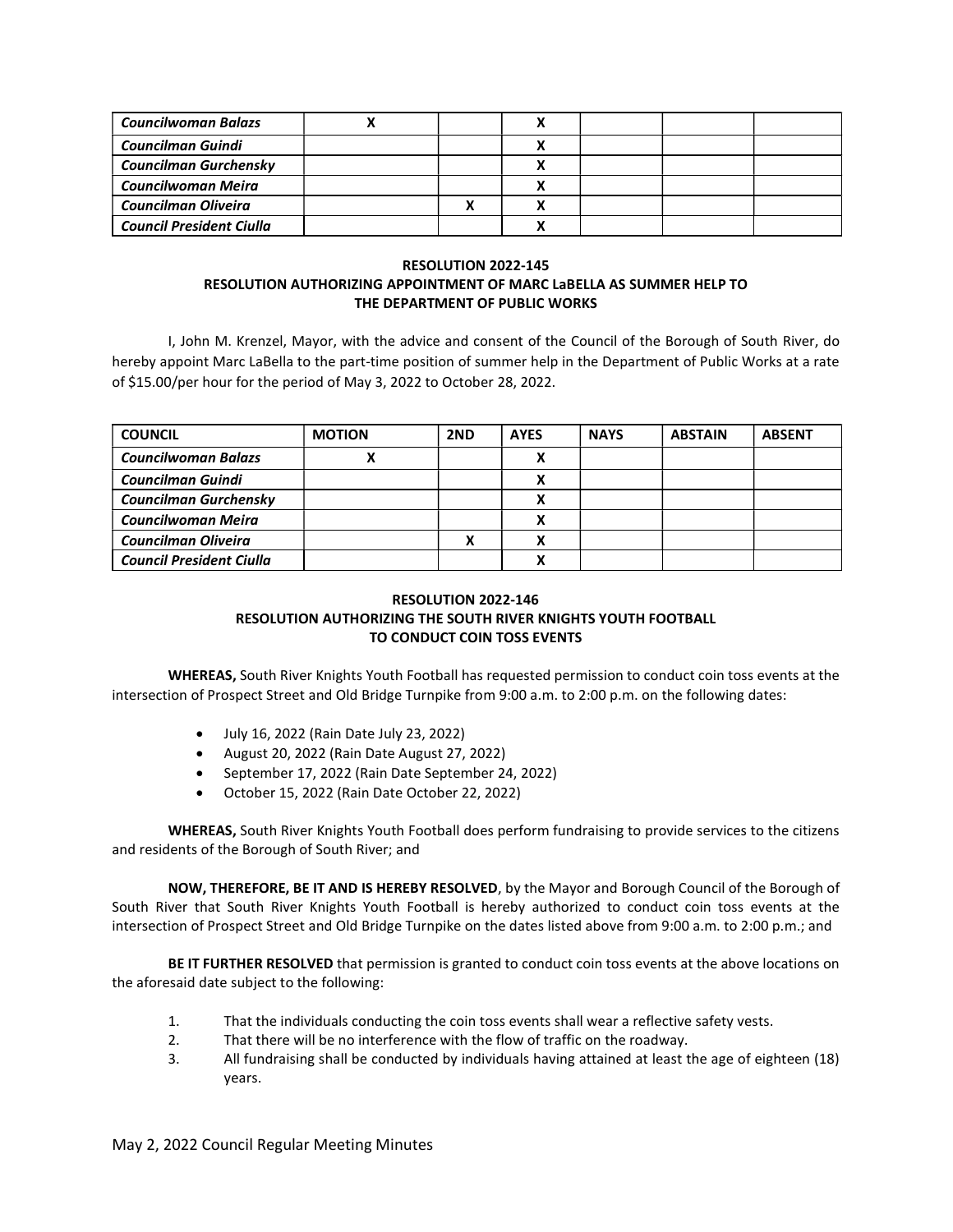| <b>Councilwoman Balazs</b>      |  |  |  |
|---------------------------------|--|--|--|
| <b>Councilman Guindi</b>        |  |  |  |
| Councilman Gurchensky           |  |  |  |
| Councilwoman Meira              |  |  |  |
| Councilman Oliveira             |  |  |  |
| <b>Council President Ciulla</b> |  |  |  |

# RESOLUTION 2022-145 RESOLUTION AUTHORIZING APPOINTMENT OF MARC LaBELLA AS SUMMER HELP TO THE DEPARTMENT OF PUBLIC WORKS

 I, John M. Krenzel, Mayor, with the advice and consent of the Council of the Borough of South River, do hereby appoint Marc LaBella to the part-time position of summer help in the Department of Public Works at a rate of \$15.00/per hour for the period of May 3, 2022 to October 28, 2022.

| <b>COUNCIL</b>                  | <b>MOTION</b> | 2ND | <b>AYES</b> | <b>NAYS</b> | <b>ABSTAIN</b> | <b>ABSENT</b> |
|---------------------------------|---------------|-----|-------------|-------------|----------------|---------------|
| <b>Councilwoman Balazs</b>      |               |     |             |             |                |               |
| <b>Councilman Guindi</b>        |               |     |             |             |                |               |
| Councilman Gurchensky           |               |     |             |             |                |               |
| <b>Councilwoman Meira</b>       |               |     |             |             |                |               |
| Councilman Oliveira             |               |     |             |             |                |               |
| <b>Council President Ciulla</b> |               |     |             |             |                |               |

# RESOLUTION 2022-146 RESOLUTION AUTHORIZING THE SOUTH RIVER KNIGHTS YOUTH FOOTBALL TO CONDUCT COIN TOSS EVENTS

WHEREAS, South River Knights Youth Football has requested permission to conduct coin toss events at the intersection of Prospect Street and Old Bridge Turnpike from 9:00 a.m. to 2:00 p.m. on the following dates:

- July 16, 2022 (Rain Date July 23, 2022)
- August 20, 2022 (Rain Date August 27, 2022)
- September 17, 2022 (Rain Date September 24, 2022)
- October 15, 2022 (Rain Date October 22, 2022)

WHEREAS, South River Knights Youth Football does perform fundraising to provide services to the citizens and residents of the Borough of South River; and

NOW, THEREFORE, BE IT AND IS HEREBY RESOLVED, by the Mayor and Borough Council of the Borough of South River that South River Knights Youth Football is hereby authorized to conduct coin toss events at the intersection of Prospect Street and Old Bridge Turnpike on the dates listed above from 9:00 a.m. to 2:00 p.m.; and

BE IT FURTHER RESOLVED that permission is granted to conduct coin toss events at the above locations on the aforesaid date subject to the following:

- 1. That the individuals conducting the coin toss events shall wear a reflective safety vests.
- 2. That there will be no interference with the flow of traffic on the roadway.
- 3. All fundraising shall be conducted by individuals having attained at least the age of eighteen (18) years.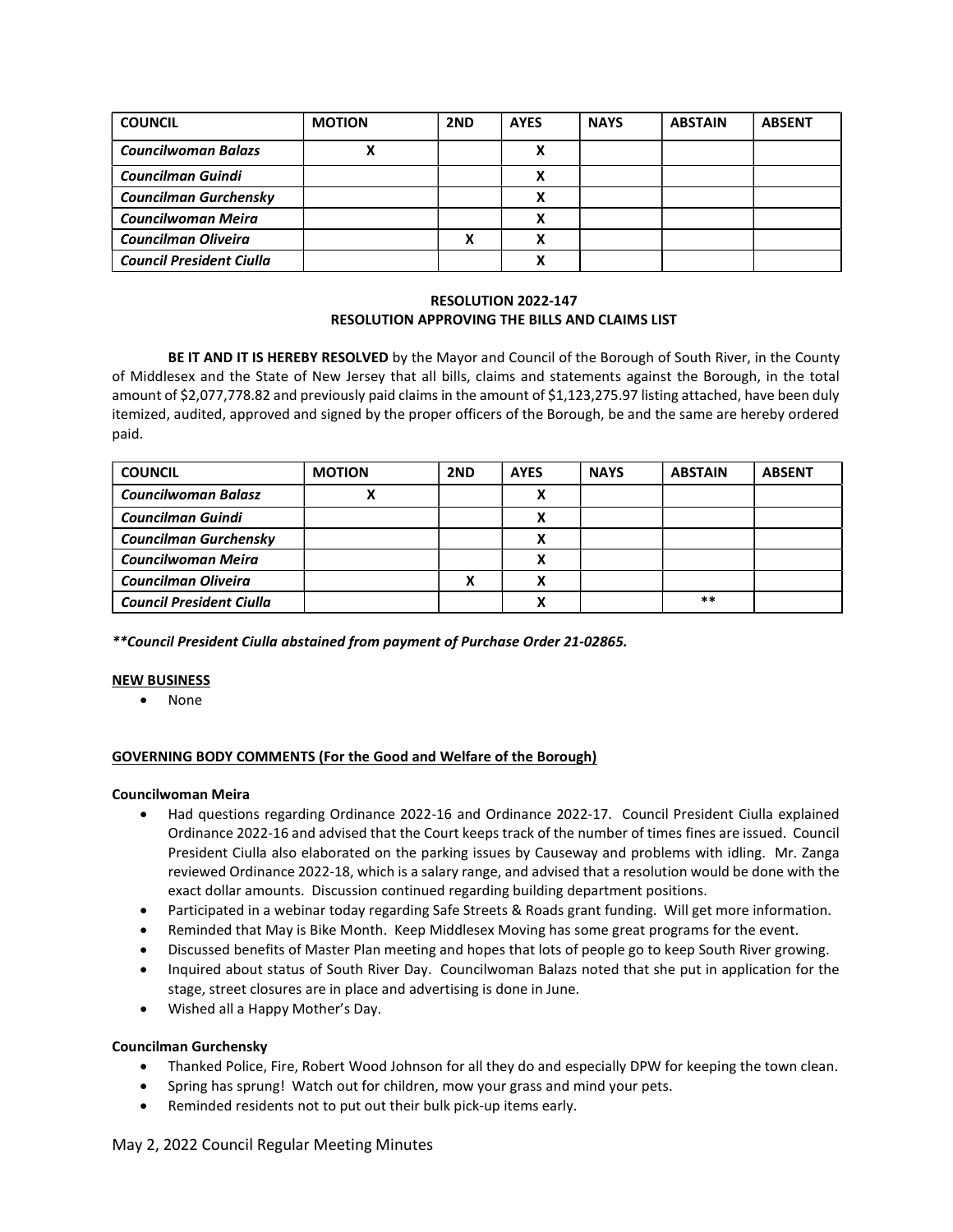| <b>COUNCIL</b>                  | <b>MOTION</b> | 2ND | <b>AYES</b> | <b>NAYS</b> | <b>ABSTAIN</b> | <b>ABSENT</b> |
|---------------------------------|---------------|-----|-------------|-------------|----------------|---------------|
| <b>Councilwoman Balazs</b>      |               |     | x           |             |                |               |
| <b>Councilman Guindi</b>        |               |     |             |             |                |               |
| <b>Councilman Gurchensky</b>    |               |     |             |             |                |               |
| Councilwoman Meira              |               |     |             |             |                |               |
| <b>Councilman Oliveira</b>      |               | v   | v           |             |                |               |
| <b>Council President Ciulla</b> |               |     |             |             |                |               |

### RESOLUTION 2022-147 RESOLUTION APPROVING THE BILLS AND CLAIMS LIST

BE IT AND IT IS HEREBY RESOLVED by the Mayor and Council of the Borough of South River, in the County of Middlesex and the State of New Jersey that all bills, claims and statements against the Borough, in the total amount of \$2,077,778.82 and previously paid claims in the amount of \$1,123,275.97 listing attached, have been duly itemized, audited, approved and signed by the proper officers of the Borough, be and the same are hereby ordered paid.

| <b>COUNCIL</b>                  | <b>MOTION</b> | 2ND | <b>AYES</b> | <b>NAYS</b> | <b>ABSTAIN</b> | <b>ABSENT</b> |
|---------------------------------|---------------|-----|-------------|-------------|----------------|---------------|
| <b>Councilwoman Balasz</b>      |               |     |             |             |                |               |
| <b>Councilman Guindi</b>        |               |     |             |             |                |               |
| <b>Councilman Gurchensky</b>    |               |     |             |             |                |               |
| Councilwoman Meira              |               |     | Λ           |             |                |               |
| <b>Councilman Oliveira</b>      |               |     | Λ           |             |                |               |
| <b>Council President Ciulla</b> |               |     |             |             | $***$          |               |

\*\*Council President Ciulla abstained from payment of Purchase Order 21-02865.

# NEW BUSINESS

• None

# GOVERNING BODY COMMENTS (For the Good and Welfare of the Borough)

#### Councilwoman Meira

- Had questions regarding Ordinance 2022-16 and Ordinance 2022-17. Council President Ciulla explained Ordinance 2022-16 and advised that the Court keeps track of the number of times fines are issued. Council President Ciulla also elaborated on the parking issues by Causeway and problems with idling. Mr. Zanga reviewed Ordinance 2022-18, which is a salary range, and advised that a resolution would be done with the exact dollar amounts. Discussion continued regarding building department positions.
- Participated in a webinar today regarding Safe Streets & Roads grant funding. Will get more information.
- Reminded that May is Bike Month. Keep Middlesex Moving has some great programs for the event.
- Discussed benefits of Master Plan meeting and hopes that lots of people go to keep South River growing.
- Inquired about status of South River Day. Councilwoman Balazs noted that she put in application for the stage, street closures are in place and advertising is done in June.
- Wished all a Happy Mother's Day.

#### Councilman Gurchensky

- Thanked Police, Fire, Robert Wood Johnson for all they do and especially DPW for keeping the town clean.
- Spring has sprung! Watch out for children, mow your grass and mind your pets.
- Reminded residents not to put out their bulk pick-up items early.